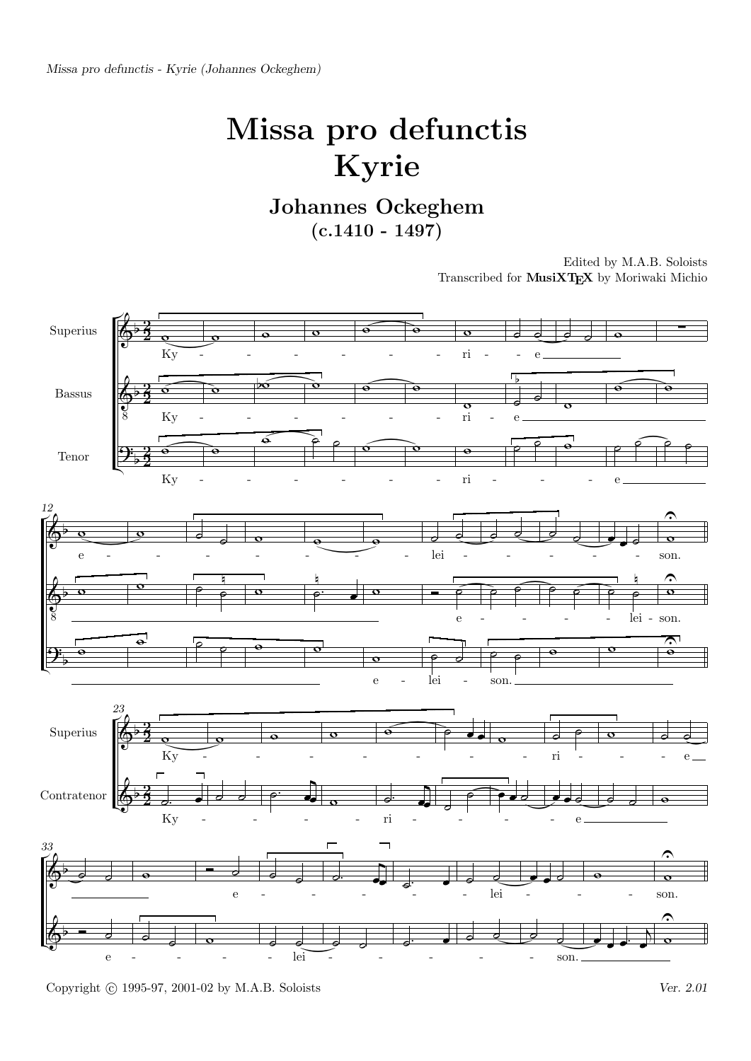Missa pro defunctis - Kyrie (Johannes Ockeghem)

## Missa pro defunctis Kyrie

Johannes Ockeghem  $(c.1410 - 1497)$ 

> Edited by M.A.B. Soloists Transcribed for MusiXTEX by Moriwaki Michio

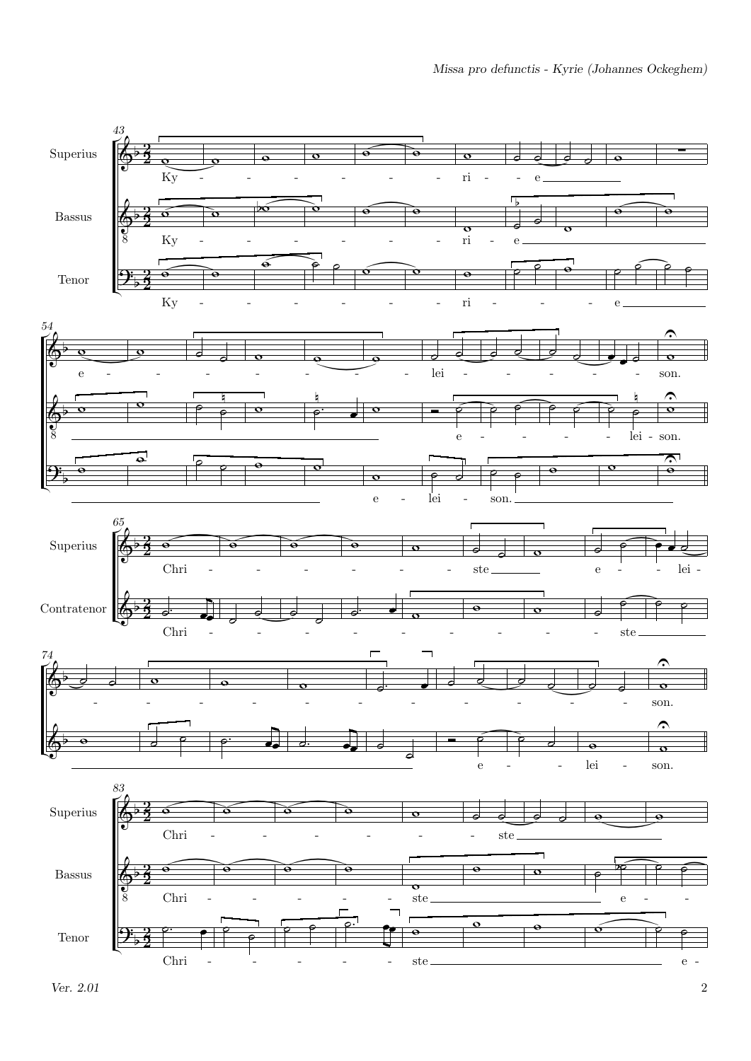

 $V$ er. 2.01 2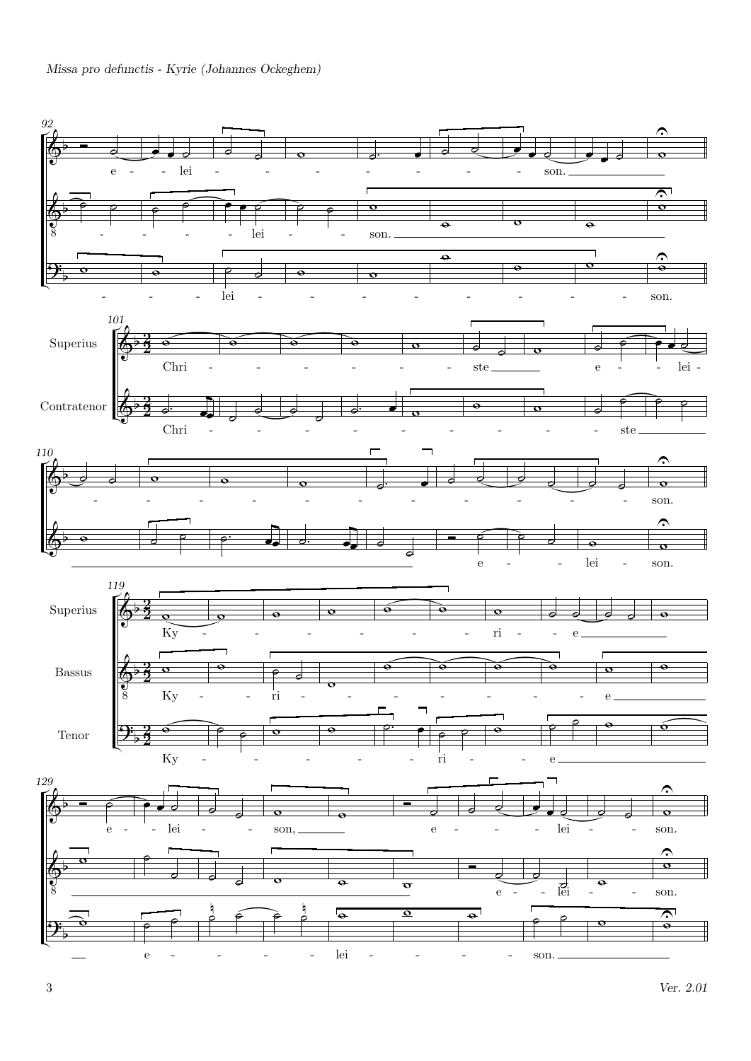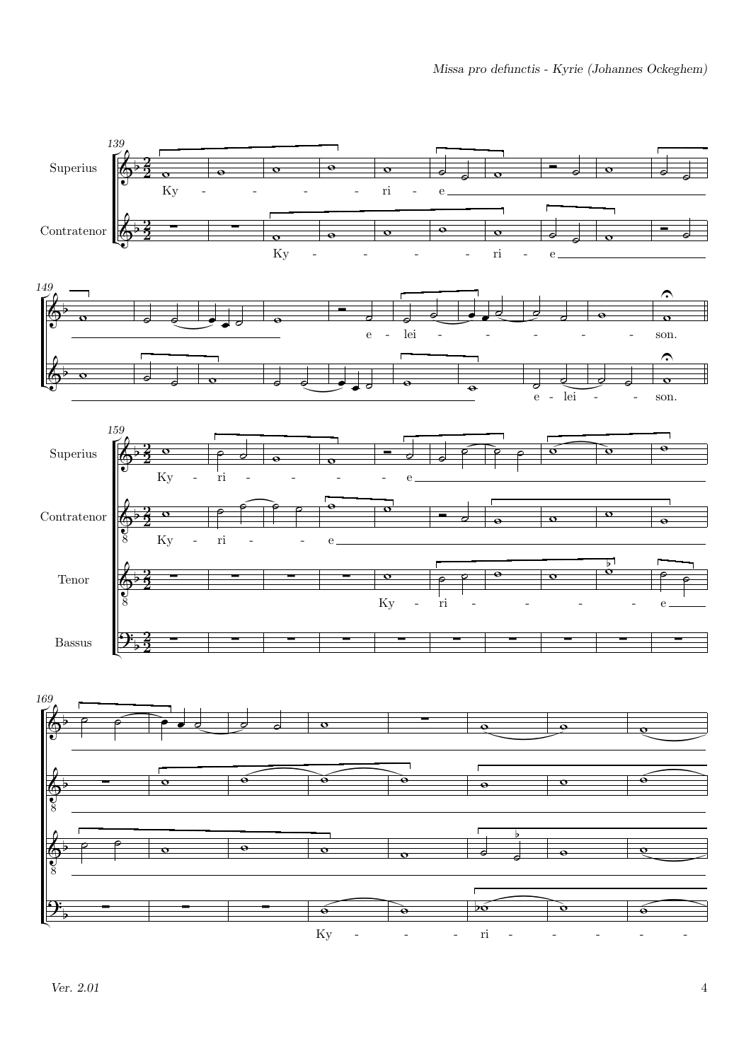